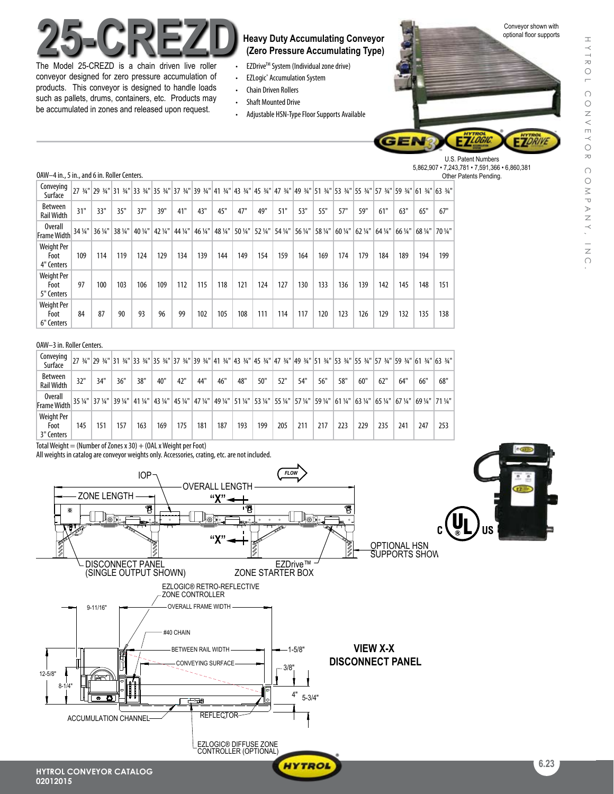

The Model 25-CREZD is a chain driven live roller conveyor designed for zero pressure accumulation of products. This conveyor is designed to handle loads such as pallets, drums, containers, etc. Products may be accumulated in zones and released upon request.

# **(Zero Pressure Accumulating Type)**

- **EZDrive™ System (Individual zone drive)**
- • EZLogic® Accumulation System
- • Chain Driven Rollers
- • Shaft Mounted Drive
- Adjustable HSN-Type Floor Supports Available



U.S. Patent Numbers 5,862,907 • 7,243,781 • 7,591,366 • 6,860,381 Other Patents Pending.

#### OAW-4 in., 5 in., and 6 in. Roller Centers.

| Conveying<br>Surface                    |         |         |         |         |         |         |         |         |     |                   |         |         |         |         |         |         |         | 27 34" 29 34" 31 34" 33 34" 35 34" 37 34" 39 34" 41 34" 43 34" 45 34" 47 34" 47 34" 51 34" 53 34" 55 34" 57 34" 59 34" 61 34" 63 34" |         |
|-----------------------------------------|---------|---------|---------|---------|---------|---------|---------|---------|-----|-------------------|---------|---------|---------|---------|---------|---------|---------|--------------------------------------------------------------------------------------------------------------------------------------|---------|
| <b>Between</b><br><b>Rail Width</b>     | 31"     | 33"     | 35"     | 37"     | 39"     | 41"     | 43"     | 45"     | 47" | 49"               | 51"     | 53"     | 55"     | 57"     | 59"     | 61"     | 63"     | 65"                                                                                                                                  | 67"     |
| <b>Overall</b><br><b>Frame Width</b>    | 34 1/4" | 36 1/4" | 38 1/4" | 40 1/4" | 42 1/4" | 44 1/4" | 46 1/4" | 48 1/4" |     | 50 1/4"   52 1/4" | 54 1/4" | 56 1/4" | 58 1/4" | 60 1/4" | 62 1/4" | 64 1/4" | 66 1/4" | 68 1/4"                                                                                                                              | 70 1/4" |
| Weight Per<br>Foot<br>4" Centers        | 109     | 114     | 119     | 124     | 129     | 134     | 139     | 144     | 149 | 154               | 159     | 164     | 169     | 174     | 179     | 184     | 189     | 194                                                                                                                                  | 199     |
| <b>Weight Per</b><br>Foot<br>5" Centers | 97      | 100     | 103     | 106     | 109     | 112     | 115     | 118     | 121 | 124               | 127     | 130     | 133     | 136     | 139     | 142     | 145     | 148                                                                                                                                  | 151     |
| <b>Weight Per</b><br>Foot<br>6" Centers | 84      | 87      | 90      | 93      | 96      | 99      | 102     | 105     | 108 | 111               | 114     | 117     | 120     | 123     | 126     | 129     | 132     | 135                                                                                                                                  | 138     |

#### OAW-3 in. Roller Centers.

| Conveying<br>Surface                 |         |                   |         |         |         |                 |     |         |     |                 |                                                 |     |     |     |     |         |                     |                      | 27 34" 29 34" 31 34" 33 34" 35 34" 37 34" 39 34" 41 34" 43 34" 45 34" 47 34" 49 34" 51 34" 53 34" 55 34" 57 34" 59 34" 61 34" 63 34" |
|--------------------------------------|---------|-------------------|---------|---------|---------|-----------------|-----|---------|-----|-----------------|-------------------------------------------------|-----|-----|-----|-----|---------|---------------------|----------------------|--------------------------------------------------------------------------------------------------------------------------------------|
| <b>Between</b><br><b>Rail Width</b>  | 32"     | 34"               | 36"     | 38"     | 40'     | 42"             | 44" | 46"     | 48" | 50"             | 52"                                             | 54" | 56" | 58" | 60" | 62"     | 64"                 | 66"                  | 68"                                                                                                                                  |
| <b>Overall</b><br><b>Frame Width</b> | 35 1/4" | $37\,\frac{1}{4}$ | 39 1/4" | 41 1/4" | 43 1/4" | 45 1/4" 47 1/4" |     | 49 1/4" |     | 51 1/4" 53 1/4" | 55 1/4"   57 1/4"   59 1/4"   61 1/4"   63 1/4" |     |     |     |     | 65 1/4" | $67\,\frac{1}{4}$ " | $69$ $\frac{1}{4}$ " | $71\frac{1}{4}$ "                                                                                                                    |
| Weight Per<br>Foot<br>3" Centers     | 145     | 151               | 157     | 163     | 169     | 175             | 181 | 187     | 193 | 199             | 205                                             | 211 | 217 | 223 | 229 | 235     | 241                 | 247                  | 253                                                                                                                                  |

Total Weight = (Number of Zones x 30) + (OAL x Weight per Foot)

All weights in catalog are conveyor weights only. Accessories, crating, etc. are not included.